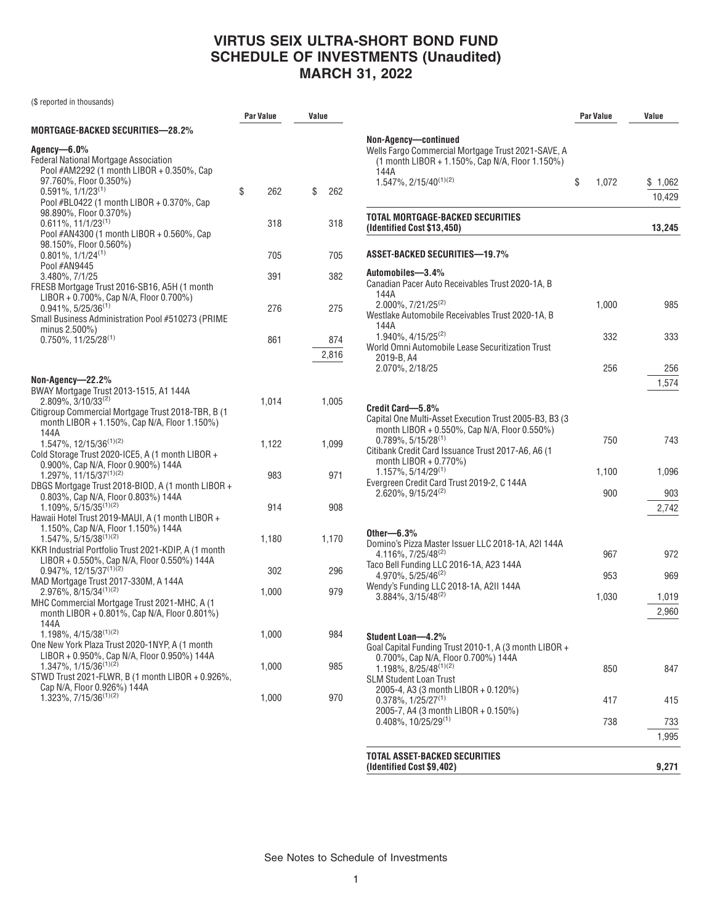## **VIRTUS SEIX ULTRA-SHORT BOND FUND SCHEDULE OF INVESTMENTS (Unaudited) MARCH 31, 2022**

(\$ reported in thousands)

|                                                                                                                                                                                                         | <b>Par Value</b> | Value        |
|---------------------------------------------------------------------------------------------------------------------------------------------------------------------------------------------------------|------------------|--------------|
| Mortgage-backed securities—28.2%                                                                                                                                                                        |                  |              |
| Agency—6.0%<br><b>Federal National Mortgage Association</b><br>Pool #AM2292 (1 month LIBOR + 0.350%, Cap<br>97.760%, Floor 0.350%)                                                                      |                  |              |
| $0.591\%$ , $1/1/23^{(1)}$<br>Pool #BL0422 (1 month LIBOR + 0.370%, Cap<br>98.890%, Floor 0.370%)                                                                                                       | \$<br>262        | \$<br>262    |
| $0.611\%$ , 11/1/23 <sup>(1)</sup><br>Pool #AN4300 (1 month LIBOR + 0.560%, Cap<br>98.150%, Floor 0.560%)                                                                                               | 318              | 318          |
| $0.801\%$ , $1/1/24^{(1)}$<br>Pool #AN9445                                                                                                                                                              | 705              | 705          |
| 3.480%, 7/1/25<br>FRESB Mortgage Trust 2016-SB16, A5H (1 month<br>LIBOR + 0.700%, Cap N/A, Floor 0.700%)                                                                                                | 391              | 382          |
| $0.941\%$ , 5/25/36 <sup>(1)</sup><br>Small Business Administration Pool #510273 (PRIME<br>minus $2.500\%$ )                                                                                            | 276              | 275          |
| $0.750\%$ , 11/25/28 <sup>(1)</sup>                                                                                                                                                                     | 861              | 874<br>2,816 |
| Non-Agency—22.2%<br>BWAY Mortgage Trust 2013-1515, A1 144A<br>$2.809\%$ , 3/10/33 <sup>(2)</sup><br>Citigroup Commercial Mortgage Trust 2018-TBR, B (1)<br>month LIBOR + 1.150%, Cap N/A, Floor 1.150%) | 1,014            | 1,005        |
| 144A<br>1.547%, 12/15/36 <sup>(1)(2)</sup><br>Cold Storage Trust 2020-ICE5, A (1 month LIBOR +                                                                                                          | 1,122            | 1,099        |
| 0.900%, Cap N/A, Floor 0.900%) 144A<br>1.297%, 11/15/37(1)(2)<br>DBGS Mortgage Trust 2018-BIOD, A (1 month LIBOR +<br>0.803%, Cap N/A, Floor 0.803%) 144A                                               | 983              | 971          |
| $1.109\%$ , $5/15/35^{(1)(2)}$<br>Hawaii Hotel Trust 2019-MAUI, A (1 month LIBOR +<br>1.150%, Cap N/A, Floor 1.150%) 144A                                                                               | 914              | 908          |
| $1.547\%, 5/15/38^{(1)(2)}$<br>KKR Industrial Portfolio Trust 2021-KDIP, A (1 month<br>LIBOR + 0.550%, Cap N/A, Floor 0.550%) 144A                                                                      | 1,180            | 1,170        |
| $0.947\%$ , 12/15/37 <sup>(1)(2)</sup><br>MAD Mortgage Trust 2017-330M, A 144A                                                                                                                          | 302              | 296          |
| $2.976\%$ , 8/15/34 <sup>(1)(2)</sup><br>MHC Commercial Mortgage Trust 2021-MHC, A (1<br>month LIBOR + 0.801%, Cap N/A, Floor 0.801%)<br>144A                                                           | 1,000            | 979          |
| $1.198\%, 4/15/38^{(1)(2)}$<br>One New York Plaza Trust 2020-1NYP, A (1 month<br>LIBOR + 0.950%, Cap N/A, Floor 0.950%) 144A                                                                            | 1,000            | 984          |
| 1.347%, 1/15/36 <sup>(1)(2)</sup><br>STWD Trust 2021-FLWR, B (1 month LIBOR + 0.926%,<br>Cap N/A, Floor 0.926%) 144A                                                                                    | 1,000            | 985          |
| 1.323%, 7/15/36 <sup>(1)(2)</sup>                                                                                                                                                                       | 1,000            | 970          |

|                                                                                                                                           | Par Value |       | Value   |  |
|-------------------------------------------------------------------------------------------------------------------------------------------|-----------|-------|---------|--|
| Non-Agency—continued<br>Wells Fargo Commercial Mortgage Trust 2021-SAVE, A<br>(1 month LIBOR + 1.150%, Cap N/A, Floor 1.150%)<br>144A     |           |       |         |  |
| $1.547\%$ , $2/15/40^{(1)(2)}$                                                                                                            | \$        | 1.072 | \$1,062 |  |
|                                                                                                                                           |           |       | 10.429  |  |
| TOTAL MORTGAGE-BACKED SECURITIES<br>(Identified Cost \$13,450)                                                                            |           |       | 13,245  |  |
| ASSET-BACKED SECURITIES-19.7%                                                                                                             |           |       |         |  |
| Automobiles-3.4%                                                                                                                          |           |       |         |  |
| Canadian Pacer Auto Receivables Trust 2020-1A, B<br>144A                                                                                  |           |       |         |  |
| $2.000\%$ , $7/21/25^{(2)}$<br>Westlake Automobile Receivables Trust 2020-1A, B<br>144A                                                   |           | 1,000 | 985     |  |
| 1.940%, 4/15/25 <sup>(2)</sup><br>World Omni Automobile Lease Securitization Trust                                                        |           | 332   | 333     |  |
| 2019-B, A4<br>2.070%, 2/18/25                                                                                                             |           | 256   | 256     |  |
|                                                                                                                                           |           |       | 1,574   |  |
| Credit Card-5.8%<br>Capital One Multi-Asset Execution Trust 2005-B3, B3 (3)                                                               |           |       |         |  |
| month LIBOR + 0.550%, Cap N/A, Floor 0.550%)<br>$0.789\%$ . 5/15/28 <sup>(1)</sup><br>Citibank Credit Card Issuance Trust 2017-A6, A6 (1) |           | 750   | 743     |  |
| month $LIBOR + 0.770\%)$<br>$1.157\%, 5/14/29^{(1)}$                                                                                      |           | 1,100 | 1,096   |  |
| Evergreen Credit Card Trust 2019-2, C 144A<br>2.620%, 9/15/24 <sup>(2)</sup>                                                              |           | 900   | 903     |  |
|                                                                                                                                           |           |       | 2,742   |  |
| Other $-6.3\%$                                                                                                                            |           |       |         |  |
| Domino's Pizza Master Issuer LLC 2018-1A, A2I 144A<br>4.116%, 7/25/48 <sup>(2)</sup>                                                      |           | 967   | 972     |  |
| Taco Bell Funding LLC 2016-1A, A23 144A<br>4.970%, 5/25/46 <sup>(2)</sup>                                                                 |           | 953   | 969     |  |
| Wendy's Funding LLC 2018-1A, A2II 144A<br>3.884%, 3/15/48(2)                                                                              |           | 1,030 | 1,019   |  |
|                                                                                                                                           |           |       | 2,960   |  |
| Student Loan-4.2%                                                                                                                         |           |       |         |  |
| Goal Capital Funding Trust 2010-1, A (3 month LIBOR +<br>0.700%, Cap N/A, Floor 0.700%) 144A                                              |           |       |         |  |
| $1.198\%, 8/25/48^{(1)(2)}$<br><b>SLM Student Loan Trust</b>                                                                              |           | 850   | 847     |  |
| 2005-4, A3 (3 month LIBOR + 0.120%)                                                                                                       |           |       |         |  |
| $0.378\%, 1/25/27^{(1)}$<br>2005-7, A4 (3 month LIBOR + 0.150%)                                                                           |           | 417   | 415     |  |
| $0.408\%$ , 10/25/29 <sup>(1)</sup>                                                                                                       |           | 738   | 733     |  |
|                                                                                                                                           |           |       | 1,995   |  |
| TOTAL ASSET-BACKED SECURITIES<br>(Identified Cost \$9,402)                                                                                |           |       | 9,271   |  |

See Notes to Schedule of Investments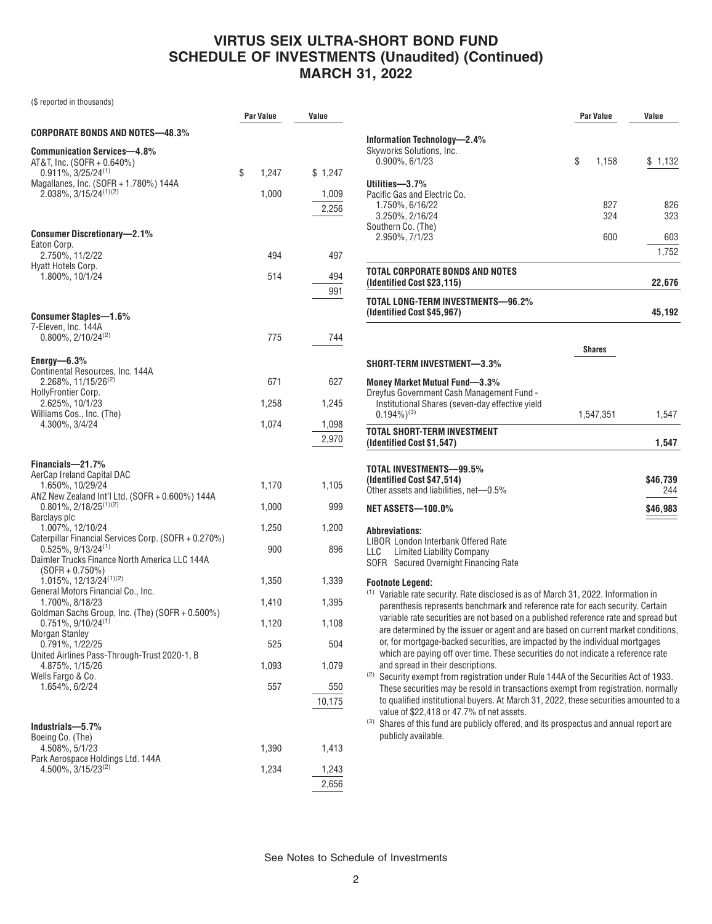# **VIRTUS SEIX ULTRA-SHORT BOND FUND SCHEDULE OF INVESTMENTS (Unaudited) (Continued) MARCH 31, 2022**

(\$ reported in thousands)

|                                                                                              | Par Value   | Value          |
|----------------------------------------------------------------------------------------------|-------------|----------------|
| CORPORATE BONDS AND NOTES—48.3%                                                              |             |                |
| <b>Communication Services-4.8%</b><br>AT&T, Inc. (SOFR + 0.640%)<br>$0.911\%, 3/25/24^{(1)}$ | \$<br>1,247 | \$1,247        |
| Magallanes, Inc. (SOFR + 1.780%) 144A                                                        |             |                |
| $2.038\%, 3/15/24^{(1)(2)}$                                                                  | 1,000       | 1,009          |
|                                                                                              |             | 2,256          |
| <b>Consumer Discretionary-2.1%</b>                                                           |             |                |
| Eaton Corp.<br>2.750%, 11/2/22                                                               | 494         | 497            |
| Hyatt Hotels Corp.<br>1.800%, 10/1/24                                                        | 514         | 494            |
|                                                                                              |             | 991            |
|                                                                                              |             |                |
| <b>Consumer Staples-1.6%</b><br>7-Eleven, Inc. 144A                                          |             |                |
| $0.800\%$ , $2/10/24^{(2)}$                                                                  | 775         | 744            |
| Energy— $6.3\%$                                                                              |             |                |
| Continental Resources, Inc. 144A<br>2.268%, 11/15/26 <sup>(2)</sup>                          | 671         | 627            |
| HollyFrontier Corp.<br>2.625%, 10/1/23                                                       | 1,258       | 1,245          |
| Williams Cos., Inc. (The)                                                                    |             |                |
| 4.300%, 3/4/24                                                                               | 1,074       | 1,098<br>2,970 |
|                                                                                              |             |                |
| Financials-21.7%<br>AerCap Ireland Capital DAC                                               |             |                |
| 1.650%, 10/29/24                                                                             | 1,170       | 1,105          |
| ANZ New Zealand Int'l Ltd. (SOFR + 0.600%) 144A<br>$0.801\%, 2/18/25^{(1)(2)}$               | 1,000       | 999            |
| Barclays plc<br>1.007%, 12/10/24                                                             | 1,250       | 1,200          |
| Caterpillar Financial Services Corp. (SOFR + 0.270%)<br>$0.525\%$ , 9/13/24 <sup>(1)</sup>   |             |                |
| Daimler Trucks Finance North America LLC 144A                                                | 900         | 896            |
| (SOFR + 0.750%)<br>1.015%, 12/13/24(1)(2)                                                    | 1,350       | 1,339          |
| General Motors Financial Co., Inc.<br>1.700%, 8/18/23                                        | 1,410       | 1,395          |
| Goldman Sachs Group, Inc. (The) (SOFR + 0.500%)                                              |             |                |
| $0.751\%, 9/10/24^{(1)}$<br><b>Morgan Stanley</b>                                            | 1,120       | 1,108          |
| 0.791%, 1/22/25<br>United Airlines Pass-Through-Trust 2020-1, B                              | 525         | 504            |
| 4.875%, 1/15/26                                                                              | 1,093       | 1,079          |
| Wells Fargo & Co.<br>1.654%, 6/2/24                                                          | 557         | 550            |
|                                                                                              |             | 10,175         |
| Industrials-5.7%                                                                             |             |                |
| Boeing Co. (The)                                                                             |             |                |
| 4.508%, 5/1/23<br>Park Aerospace Holdings Ltd. 144A                                          | 1,390       | 1,413          |
| 4.500%, 3/15/23 <sup>(2)</sup>                                                               | 1,234       | 1,243          |
|                                                                                              |             | 2,656          |

|                                                                                                                                                                       | Par Value |            | Value      |  |
|-----------------------------------------------------------------------------------------------------------------------------------------------------------------------|-----------|------------|------------|--|
| Information Technology-2.4%                                                                                                                                           |           |            |            |  |
| Skyworks Solutions, Inc.                                                                                                                                              |           |            |            |  |
| $0.900\%$ , $6/1/23$                                                                                                                                                  | \$        | 1,158      | \$1,132    |  |
| Utilities-3.7%                                                                                                                                                        |           |            |            |  |
| Pacific Gas and Electric Co.                                                                                                                                          |           |            |            |  |
| 1.750%, 6/16/22<br>3.250%, 2/16/24                                                                                                                                    |           | 827<br>324 | 826<br>323 |  |
| Southern Co. (The)                                                                                                                                                    |           |            |            |  |
| 2.950%, 7/1/23                                                                                                                                                        |           | 600        | 603        |  |
|                                                                                                                                                                       |           |            | 1,752      |  |
| TOTAL CORPORATE BONDS AND NOTES<br>(Identified Cost \$23,115)                                                                                                         |           |            | 22,676     |  |
| TOTAL LONG-TERM INVESTMENTS-96.2%<br>(Identified Cost \$45,967)                                                                                                       |           |            | 45,192     |  |
|                                                                                                                                                                       |           | Shares     |            |  |
| SHORT-TERM INVESTMENT-3.3%                                                                                                                                            |           |            |            |  |
| Money Market Mutual Fund-3.3%                                                                                                                                         |           |            |            |  |
| Dreyfus Government Cash Management Fund -                                                                                                                             |           |            |            |  |
| Institutional Shares (seven-day effective yield<br>$0.194\%$ <sup>(3)</sup>                                                                                           |           | 1,547,351  | 1,547      |  |
| TOTAL SHORT-TERM INVESTMENT                                                                                                                                           |           |            |            |  |
| (Identified Cost \$1,547)                                                                                                                                             |           |            | 1,547      |  |
|                                                                                                                                                                       |           |            |            |  |
| TOTAL INVESTMENTS-99.5%<br>(Identified Cost \$47,514)                                                                                                                 |           |            | \$46,739   |  |
| Other assets and liabilities, net-0.5%                                                                                                                                |           |            | 244        |  |
| <b>NET ASSETS-100.0%</b>                                                                                                                                              |           |            | \$46,983   |  |
|                                                                                                                                                                       |           |            |            |  |
| <b>Abbreviations:</b><br>LIBOR London Interbank Offered Rate                                                                                                          |           |            |            |  |
| <b>Limited Liability Company</b><br>LLC                                                                                                                               |           |            |            |  |
| SOFR Secured Overnight Financing Rate                                                                                                                                 |           |            |            |  |
| Footnote Legend:                                                                                                                                                      |           |            |            |  |
| <sup>(1)</sup> Variable rate security. Rate disclosed is as of March 31, 2022. Information in                                                                         |           |            |            |  |
| parenthesis represents benchmark and reference rate for each security. Certain<br>variable rate securities are not based on a published reference rate and spread but |           |            |            |  |
| are determined by the issuer or agent and are based on current market conditions,                                                                                     |           |            |            |  |
| or, for mortgage-backed securities, are impacted by the individual mortgages                                                                                          |           |            |            |  |
| which are paying off over time. These securities do not indicate a reference rate<br>and spread in their descriptions.                                                |           |            |            |  |
| <sup>(2)</sup> Security exempt from registration under Rule 144A of the Securities Act of 1933.                                                                       |           |            |            |  |
| These securities may be resold in transactions exempt from registration, normally                                                                                     |           |            |            |  |
| to qualified institutional buyers. At March 31, 2022, these securities amounted to a                                                                                  |           |            |            |  |
| value of \$22,418 or 47.7% of net assets.<br>(3) Shares of this fund are publicly offered, and its prospectus and annual report are                                   |           |            |            |  |
| publicly available.                                                                                                                                                   |           |            |            |  |
|                                                                                                                                                                       |           |            |            |  |
|                                                                                                                                                                       |           |            |            |  |

See Notes to Schedule of Investments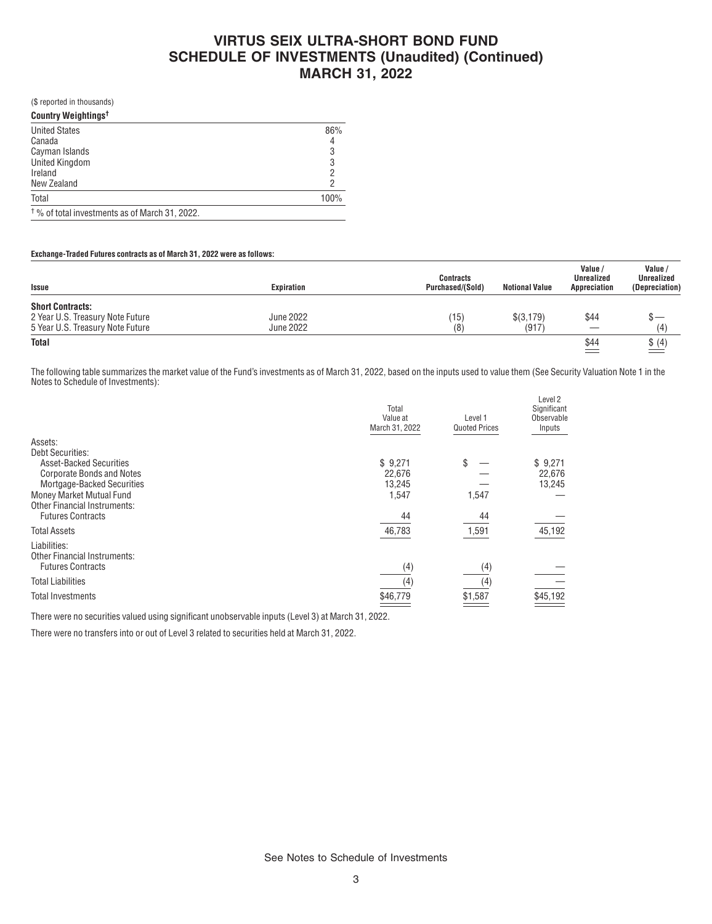# **VIRTUS SEIX ULTRA-SHORT BOND FUND SCHEDULE OF INVESTMENTS (Unaudited) (Continued) MARCH 31, 2022**

(\$ reported in thousands)

| Country Weightings <sup>t</sup>                           |      |
|-----------------------------------------------------------|------|
| <b>United States</b>                                      | 86%  |
| Canada                                                    |      |
| Cayman Islands                                            | 3    |
| <b>United Kingdom</b>                                     |      |
| Ireland                                                   |      |
| New Zealand                                               |      |
| Total                                                     | 100% |
| <sup>†</sup> % of total investments as of March 31, 2022. |      |

### **Exchange-Traded Futures contracts as of March 31, 2022 were as follows:**

| Issue                            | Expiration       | <b>Contracts</b><br>Purchased/(Sold) | <b>Notional Value</b> | Value /<br><b>Unrealized</b><br>Appreciation | Value<br>Unrealized<br>(Depreciation) |
|----------------------------------|------------------|--------------------------------------|-----------------------|----------------------------------------------|---------------------------------------|
| <b>Short Contracts:</b>          |                  |                                      |                       |                                              |                                       |
| 2 Year U.S. Treasury Note Future | <b>June 2022</b> | $^{\prime}$ 15                       | \$(3,179)             | \$44                                         |                                       |
| 5 Year U.S. Treasury Note Future | <b>June 2022</b> | (8                                   | (917)                 |                                              | (4)                                   |
| <b>Total</b>                     |                  |                                      |                       | \$44                                         | \$(4)                                 |

The following table summarizes the market value of the Fund's investments as of March 31, 2022, based on the inputs used to value them (See Security Valuation Note 1 in the Notes to Schedule of Investments):

|                                     | Total<br>Value at<br>March 31, 2022 | Level 1<br><b>Quoted Prices</b> | Level 2<br>Significant<br>Observable<br>Inputs |
|-------------------------------------|-------------------------------------|---------------------------------|------------------------------------------------|
| Assets:                             |                                     |                                 |                                                |
| <b>Debt Securities:</b>             |                                     |                                 |                                                |
| <b>Asset-Backed Securities</b>      | \$9,271                             | \$                              | \$9,271                                        |
| <b>Corporate Bonds and Notes</b>    | 22,676                              |                                 | 22,676                                         |
| Mortgage-Backed Securities          | 13,245                              |                                 | 13,245                                         |
| Money Market Mutual Fund            | 1,547                               | 1,547                           |                                                |
| <b>Other Financial Instruments:</b> |                                     |                                 |                                                |
| <b>Futures Contracts</b>            | 44                                  | 44                              |                                                |
| <b>Total Assets</b>                 | 46,783                              | 1,591                           | 45,192                                         |
| Liabilities:                        |                                     |                                 |                                                |
| <b>Other Financial Instruments:</b> |                                     |                                 |                                                |
| <b>Futures Contracts</b>            | (4)                                 | (4)                             |                                                |
| <b>Total Liabilities</b>            | (4)                                 | (4)                             |                                                |
| <b>Total Investments</b>            | \$46,779                            | \$1,587                         | \$45,192                                       |

There were no securities valued using significant unobservable inputs (Level 3) at March 31, 2022.

There were no transfers into or out of Level 3 related to securities held at March 31, 2022.

See Notes to Schedule of Investments